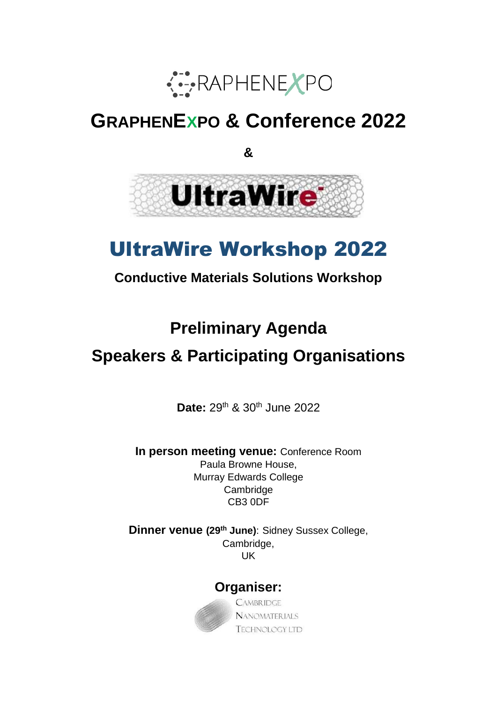

# **GRAPHENEXPO & Conference 2022**

**&** 



# UltraWire Workshop 2022

# **Conductive Materials Solutions Workshop**

# **Preliminary Agenda**

# **Speakers & Participating Organisations**

**Date:** 29th & 30th June 2022

**In person meeting venue:** Conference Room Paula Browne House, Murray Edwards College Cambridge CB3 0DF

**Dinner venue (29th June)**: Sidney Sussex College, Cambridge, UK

## **Organiser:**



**CAMBRIDGE NANOMATERIALS TECHNOLOGY LTD**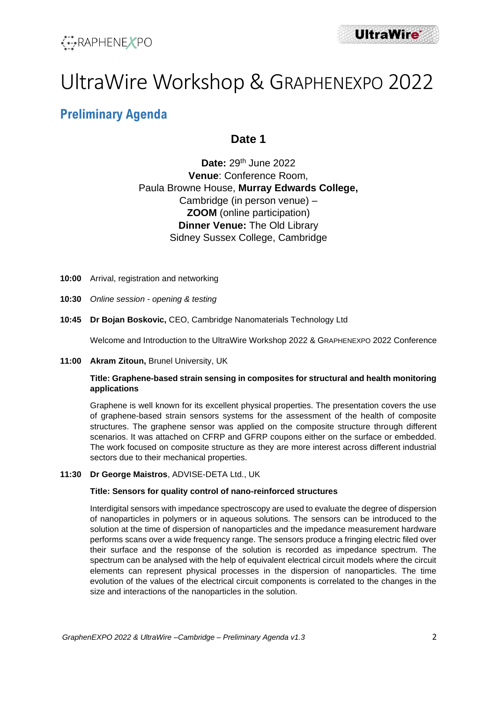



# UltraWire Workshop & GRAPHENEXPO 2022

# **Preliminary Agenda**

### **Date 1**

**Date:** 29th June 2022 **Venue**: Conference Room, Paula Browne House, **Murray Edwards College,**  Cambridge (in person venue) – **ZOOM** (online participation) **Dinner Venue:** The Old Library Sidney Sussex College, Cambridge

- **10:00** Arrival, registration and networking
- **10:30** *Online session - opening & testing*
- **10:45 Dr Bojan Boskovic,** CEO, Cambridge Nanomaterials Technology Ltd

Welcome and Introduction to the UltraWire Workshop 2022 & GRAPHENEXPO 2022 Conference

#### **11:00 Akram Zitoun,** Brunel University, UK

#### **Title: Graphene-based strain sensing in composites for structural and health monitoring applications**

Graphene is well known for its excellent physical properties. The presentation covers the use of graphene-based strain sensors systems for the assessment of the health of composite structures. The graphene sensor was applied on the composite structure through different scenarios. It was attached on CFRP and GFRP coupons either on the surface or embedded. The work focused on composite structure as they are more interest across different industrial sectors due to their mechanical properties.

#### **11:30 Dr George Maistros**, ADVISE-DETA Ltd., UK

#### **Title: Sensors for quality control of nano-reinforced structures**

Interdigital sensors with impedance spectroscopy are used to evaluate the degree of dispersion of nanoparticles in polymers or in aqueous solutions. The sensors can be introduced to the solution at the time of dispersion of nanoparticles and the impedance measurement hardware performs scans over a wide frequency range. The sensors produce a fringing electric filed over their surface and the response of the solution is recorded as impedance spectrum. The spectrum can be analysed with the help of equivalent electrical circuit models where the circuit elements can represent physical processes in the dispersion of nanoparticles. The time evolution of the values of the electrical circuit components is correlated to the changes in the size and interactions of the nanoparticles in the solution.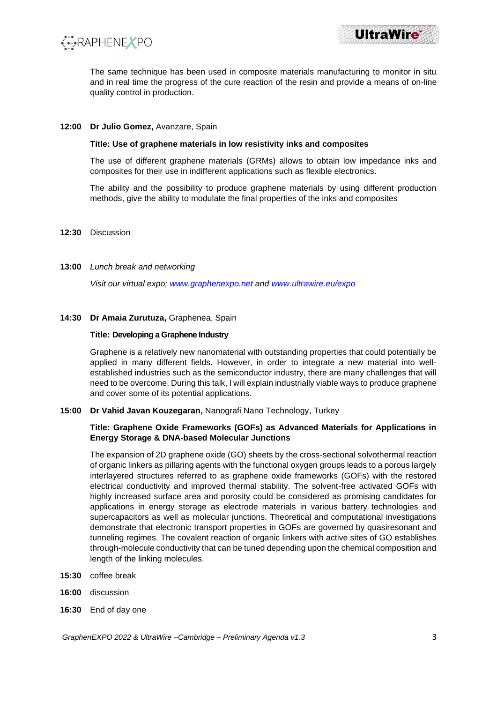



The same technique has been used in composite materials manufacturing to monitor in situ and in real time the progress of the cure reaction of the resin and provide a means of on-line quality control in production.

#### **12:00 Dr Julio Gomez,** Avanzare, Spain

#### **Title: Use of graphene materials in low resistivity inks and composites**

The use of different graphene materials (GRMs) allows to obtain low impedance inks and composites for their use in indifferent applications such as flexible electronics.

The ability and the possibility to produce graphene materials by using different production methods, give the ability to modulate the final properties of the inks and composites

#### **12:30** Discussion

#### **13:00** *Lunch break and networking*

*Visit our virtual expo; [www.graphenexpo.net](http://www.graphenexpo.net/) and [www.ultrawire.eu/expo](http://www.ultrawire.eu/expo)*

#### **14:30 Dr Amaia Zurutuza,** Graphenea, Spain

#### **Title: Developing a Graphene Industry**

Graphene is a relatively new nanomaterial with outstanding properties that could potentially be applied in many different fields. However, in order to integrate a new material into wellestablished industries such as the semiconductor industry, there are many challenges that will need to be overcome. During this talk, I will explain industrially viable ways to produce graphene and cover some of its potential applications.

**15:00 Dr Vahid Javan Kouzegaran,** Nanografi Nano Technology, Turkey

#### **Title: Graphene Oxide Frameworks (GOFs) as Advanced Materials for Applications in Energy Storage & DNA-based Molecular Junctions**

The expansion of 2D graphene oxide (GO) sheets by the cross-sectional solvothermal reaction of organic linkers as pillaring agents with the functional oxygen groups leads to a porous largely interlayered structures referred to as graphene oxide frameworks (GOFs) with the restored electrical conductivity and improved thermal stability. The solvent-free activated GOFs with highly increased surface area and porosity could be considered as promising candidates for applications in energy storage as electrode materials in various battery technologies and supercapacitors as well as molecular junctions. Theoretical and computational investigations demonstrate that electronic transport properties in GOFs are governed by quasiresonant and tunneling regimes. The covalent reaction of organic linkers with active sites of GO establishes through-molecule conductivity that can be tuned depending upon the chemical composition and length of the linking molecules.

- **15:30** coffee break
- **16:00** discussion
- **16:30** End of day one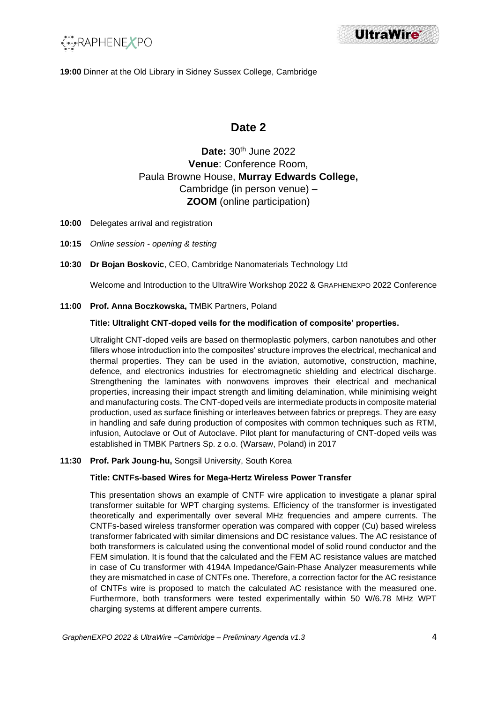



**19:00** Dinner at the Old Library in Sidney Sussex College, Cambridge

## **Date 2**

## **Date:** 30th June 2022 **Venue**: Conference Room, Paula Browne House, **Murray Edwards College,**  Cambridge (in person venue) – **ZOOM** (online participation)

- **10:00** Delegates arrival and registration
- **10:15** *Online session - opening & testing*
- **10:30 Dr Bojan Boskovic**, CEO, Cambridge Nanomaterials Technology Ltd

Welcome and Introduction to the UltraWire Workshop 2022 & GRAPHENEXPO 2022 Conference

#### **11:00 Prof. Anna Boczkowska,** TMBK Partners, Poland

#### **Title: Ultralight CNT-doped veils for the modification of composite' properties.**

Ultralight CNT-doped veils are based on thermoplastic polymers, carbon nanotubes and other fillers whose introduction into the composites' structure improves the electrical, mechanical and thermal properties. They can be used in the aviation, automotive, construction, machine, defence, and electronics industries for electromagnetic shielding and electrical discharge. Strengthening the laminates with nonwovens improves their electrical and mechanical properties, increasing their impact strength and limiting delamination, while minimising weight and manufacturing costs. The CNT-doped veils are intermediate products in composite material production, used as surface finishing or interleaves between fabrics or prepregs. They are easy in handling and safe during production of composites with common techniques such as RTM, infusion, Autoclave or Out of Autoclave. Pilot plant for manufacturing of CNT-doped veils was established in TMBK Partners Sp. z o.o. (Warsaw, Poland) in 2017

#### **11:30 Prof. Park Joung-hu,** Songsil University, South Korea

#### **Title: CNTFs-based Wires for Mega-Hertz Wireless Power Transfer**

This presentation shows an example of CNTF wire application to investigate a planar spiral transformer suitable for WPT charging systems. Efficiency of the transformer is investigated theoretically and experimentally over several MHz frequencies and ampere currents. The CNTFs-based wireless transformer operation was compared with copper (Cu) based wireless transformer fabricated with similar dimensions and DC resistance values. The AC resistance of both transformers is calculated using the conventional model of solid round conductor and the FEM simulation. It is found that the calculated and the FEM AC resistance values are matched in case of Cu transformer with 4194A Impedance/Gain-Phase Analyzer measurements while they are mismatched in case of CNTFs one. Therefore, a correction factor for the AC resistance of CNTFs wire is proposed to match the calculated AC resistance with the measured one. Furthermore, both transformers were tested experimentally within 50 W/6.78 MHz WPT charging systems at different ampere currents.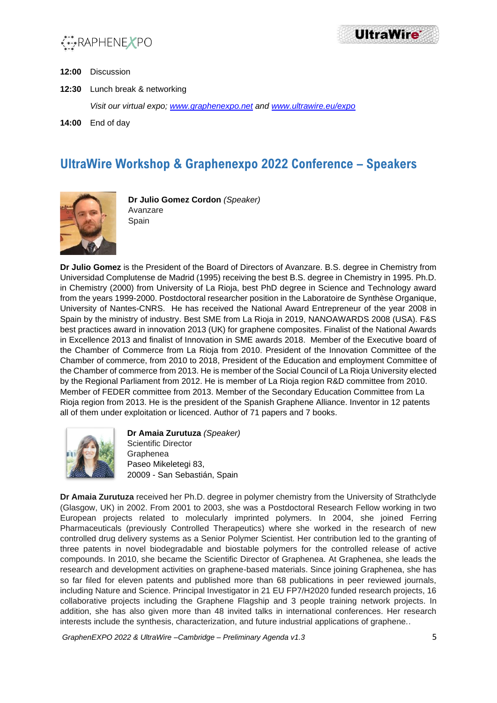

**UltraWire** 

- **12:00** Discussion
- **12:30** Lunch break & networking

*Visit our virtual expo; [www.graphenexpo.net](http://www.graphenexpo.net/) and [www.ultrawire.eu/expo](http://www.ultrawire.eu/expo)*

**14:00** End of day

## **UltraWire Workshop & Graphenexpo 2022 Conference – Speakers**



**Dr Julio Gomez Cordon** *(Speaker)* Avanzare Spain

**Dr Julio Gomez** is the President of the Board of Directors of Avanzare. B.S. degree in Chemistry from Universidad Complutense de Madrid (1995) receiving the best B.S. degree in Chemistry in 1995. Ph.D. in Chemistry (2000) from University of La Rioja, best PhD degree in Science and Technology award from the years 1999-2000. Postdoctoral researcher position in the Laboratoire de Synthèse Organique, University of Nantes-CNRS. He has received the National Award Entrepreneur of the year 2008 in Spain by the ministry of industry. Best SME from La Rioja in 2019, NANOAWARDS 2008 (USA). F&S best practices award in innovation 2013 (UK) for graphene composites. Finalist of the National Awards in Excellence 2013 and finalist of Innovation in SME awards 2018. Member of the Executive board of the Chamber of Commerce from La Rioja from 2010. President of the Innovation Committee of the Chamber of commerce, from 2010 to 2018, President of the Education and employment Committee of the Chamber of commerce from 2013. He is member of the Social Council of La Rioja University elected by the Regional Parliament from 2012. He is member of La Rioja region R&D committee from 2010. Member of FEDER committee from 2013. Member of the Secondary Education Committee from La Rioja region from 2013. He is the president of the Spanish Graphene Alliance. Inventor in 12 patents all of them under exploitation or licenced. Author of 71 papers and 7 books.



**Dr Amaia Zurutuza** *(Speaker)* Scientific Director Graphenea Paseo Mikeletegi 83, 20009 - San Sebastián, Spain

**Dr Amaia Zurutuza** received her Ph.D. degree in polymer chemistry from the University of Strathclyde (Glasgow, UK) in 2002. From 2001 to 2003, she was a Postdoctoral Research Fellow working in two European projects related to molecularly imprinted polymers. In 2004, she joined Ferring Pharmaceuticals (previously Controlled Therapeutics) where she worked in the research of new controlled drug delivery systems as a Senior Polymer Scientist. Her contribution led to the granting of three patents in novel biodegradable and biostable polymers for the controlled release of active compounds. In 2010, she became the Scientific Director of Graphenea. At Graphenea, she leads the research and development activities on graphene-based materials. Since joining Graphenea, she has so far filed for eleven patents and published more than 68 publications in peer reviewed journals, including Nature and Science. Principal Investigator in 21 EU FP7/H2020 funded research projects, 16 collaborative projects including the Graphene Flagship and 3 people training network projects. In addition, she has also given more than 48 invited talks in international conferences. Her research interests include the synthesis, characterization, and future industrial applications of graphene..

*GraphenEXPO 2022 & UltraWire –Cambridge – Preliminary Agenda v1.3* 5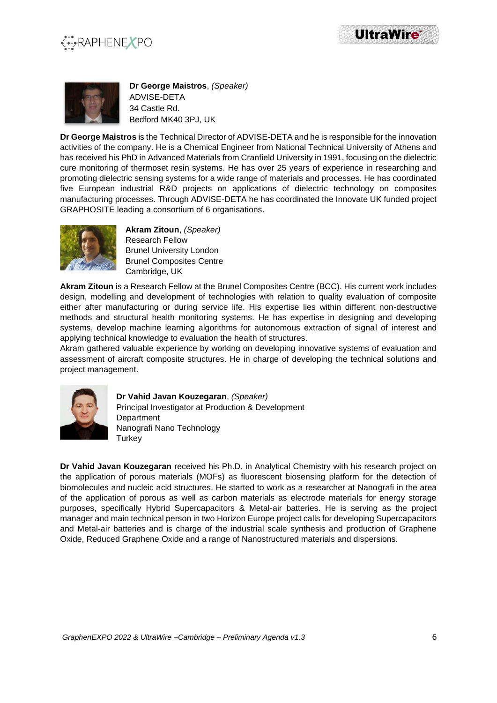





**Dr George Maistros**, *(Speaker)* ADVISE-DETA 34 Castle Rd. Bedford MK40 3PJ, UK

**Dr George Maistros** is the Technical Director of ADVISE-DETA and he is responsible for the innovation activities of the company. He is a Chemical Engineer from National Technical University of Athens and has received his PhD in Advanced Materials from Cranfield University in 1991, focusing on the dielectric cure monitoring of thermoset resin systems. He has over 25 years of experience in researching and promoting dielectric sensing systems for a wide range of materials and processes. He has coordinated five European industrial R&D projects on applications of dielectric technology on composites manufacturing processes. Through ADVISE-DETA he has coordinated the Innovate UK funded project GRAPHOSITE leading a consortium of 6 organisations.



**Akram Zitoun**, *(Speaker)* Research Fellow Brunel University London Brunel Composites Centre Cambridge, UK

**Akram Zitoun** is a Research Fellow at the Brunel Composites Centre (BCC). His current work includes design, modelling and development of technologies with relation to quality evaluation of composite either after manufacturing or during service life. His expertise lies within different non-destructive methods and structural health monitoring systems. He has expertise in designing and developing systems, develop machine learning algorithms for autonomous extraction of signal of interest and applying technical knowledge to evaluation the health of structures.

Akram gathered valuable experience by working on developing innovative systems of evaluation and assessment of aircraft composite structures. He in charge of developing the technical solutions and project management.



**Dr Vahid Javan Kouzegaran**, *(Speaker)* Principal Investigator at Production & Development **Department** Nanografi Nano Technology **Turkey** 

**Dr Vahid Javan Kouzegaran** received his Ph.D. in Analytical Chemistry with his research project on the application of porous materials (MOFs) as fluorescent biosensing platform for the detection of biomolecules and nucleic acid structures. He started to work as a researcher at Nanografi in the area of the application of porous as well as carbon materials as electrode materials for energy storage purposes, specifically Hybrid Supercapacitors & Metal-air batteries. He is serving as the project manager and main technical person in two Horizon Europe project calls for developing Supercapacitors and Metal-air batteries and is charge of the industrial scale synthesis and production of Graphene Oxide, Reduced Graphene Oxide and a range of Nanostructured materials and dispersions.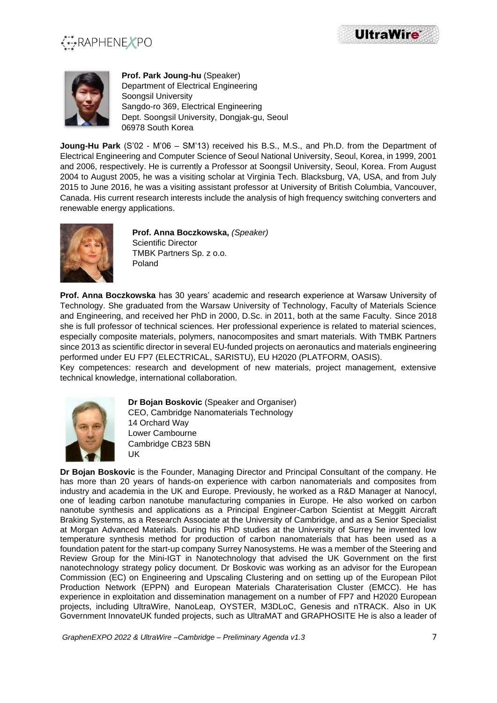

**UltraWire** 



**Prof. Park Joung-hu** (Speaker) Department of Electrical Engineering Soongsil University Sangdo-ro 369, Electrical Engineering Dept. Soongsil University, Dongjak-gu, Seoul 06978 South Korea

**Joung-Hu Park** (S'02 - M'06 – SM'13) received his B.S., M.S., and Ph.D. from the Department of Electrical Engineering and Computer Science of Seoul National University, Seoul, Korea, in 1999, 2001 and 2006, respectively. He is currently a Professor at Soongsil University, Seoul, Korea. From August 2004 to August 2005, he was a visiting scholar at Virginia Tech. Blacksburg, VA, USA, and from July 2015 to June 2016, he was a visiting assistant professor at University of British Columbia, Vancouver, Canada. His current research interests include the analysis of high frequency switching converters and renewable energy applications.



**Prof. Anna Boczkowska,** *(Speaker)* Scientific Director TMBK Partners Sp. z o.o. Poland

**Prof. Anna Boczkowska** has 30 years' academic and research experience at Warsaw University of Technology. She graduated from the Warsaw University of Technology, Faculty of Materials Science and Engineering, and received her PhD in 2000, D.Sc. in 2011, both at the same Faculty. Since 2018 she is full professor of technical sciences. Her professional experience is related to material sciences, especially composite materials, polymers, nanocomposites and smart materials. With TMBK Partners since 2013 as scientific director in several EU-funded projects on aeronautics and materials engineering performed under EU FP7 (ELECTRICAL, SARISTU), EU H2020 (PLATFORM, OASIS).

Key competences: research and development of new materials, project management, extensive technical knowledge, international collaboration.



**Dr Bojan Boskovic** (Speaker and Organiser) CEO, Cambridge Nanomaterials Technology 14 Orchard Way Lower Cambourne Cambridge CB23 5BN UK

**Dr Bojan Boskovic** is the Founder, Managing Director and Principal Consultant of the company. He has more than 20 years of hands-on experience with carbon nanomaterials and composites from industry and academia in the UK and Europe. Previously, he worked as a R&D Manager at Nanocyl, one of leading carbon nanotube manufacturing companies in Europe. He also worked on carbon nanotube synthesis and applications as a Principal Engineer-Carbon Scientist at Meggitt Aircraft Braking Systems, as a Research Associate at the University of Cambridge, and as a Senior Specialist at Morgan Advanced Materials. During his PhD studies at the University of Surrey he invented low temperature synthesis method for production of carbon nanomaterials that has been used as a foundation patent for the start-up company Surrey Nanosystems. He was a member of the Steering and Review Group for the Mini-IGT in Nanotechnology that advised the UK Government on the first nanotechnology strategy policy document. Dr Boskovic was working as an advisor for the European Commission (EC) on Engineering and Upscaling Clustering and on setting up of the European Pilot Production Network (EPPN) and European Materials Charaterisation Cluster (EMCC). He has experience in exploitation and dissemination management on a number of FP7 and H2020 European projects, including UltraWire, NanoLeap, OYSTER, M3DLoC, Genesis and nTRACK. Also in UK Government InnovateUK funded projects, such as UltraMAT and GRAPHOSITE He is also a leader of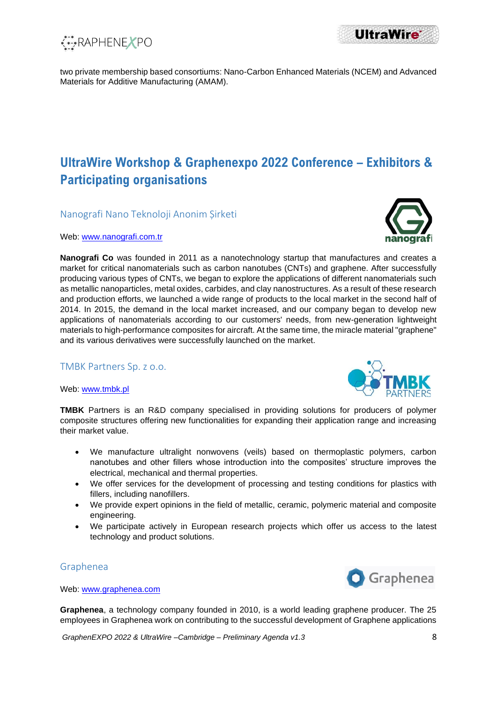

two private membership based consortiums: Nano-Carbon Enhanced Materials (NCEM) and Advanced Materials for Additive Manufacturing (AMAM).

## **UltraWire Workshop & Graphenexpo 2022 Conference – Exhibitors & Participating organisations**

Nanografi Nano Teknoloji Anonim Șirketi

Web: [www.nanografi.com.tr](http://www.nanografi.com.tr/)

**Nanografi Co** was founded in 2011 as a nanotechnology startup that manufactures and creates a market for critical nanomaterials such as carbon nanotubes (CNTs) and graphene. After successfully producing various types of CNTs, we began to explore the applications of different nanomaterials such as metallic nanoparticles, metal oxides, carbides, and clay nanostructures. As a result of these research and production efforts, we launched a wide range of products to the local market in the second half of 2014. In 2015, the demand in the local market increased, and our company began to develop new applications of nanomaterials according to our customers' needs, from new-generation lightweight materials to high-performance composites for aircraft. At the same time, the miracle material "graphene" and its various derivatives were successfully launched on the market.

#### TMBK Partners Sp. z o.o.

Web: [www.tmbk.pl](http://www.tmbk.pl/)



**TMBK** Partners is an R&D company specialised in providing solutions for producers of polymer composite structures offering new functionalities for expanding their application range and increasing their market value.

- We manufacture ultralight nonwovens (veils) based on thermoplastic polymers, carbon nanotubes and other fillers whose introduction into the composites' structure improves the electrical, mechanical and thermal properties.
- We offer services for the development of processing and testing conditions for plastics with fillers, including nanofillers.
- We provide expert opinions in the field of metallic, ceramic, polymeric material and composite engineering.
- We participate actively in European research projects which offer us access to the latest technology and product solutions.

### Graphenea



Web: [www.graphenea.com](http://www.graphenea.com/)

**Graphenea**, a technology company founded in 2010, is a world leading graphene producer. The 25 employees in Graphenea work on contributing to the successful development of Graphene applications

*GraphenEXPO 2022 & UltraWire –Cambridge – Preliminary Agenda v1.3* 8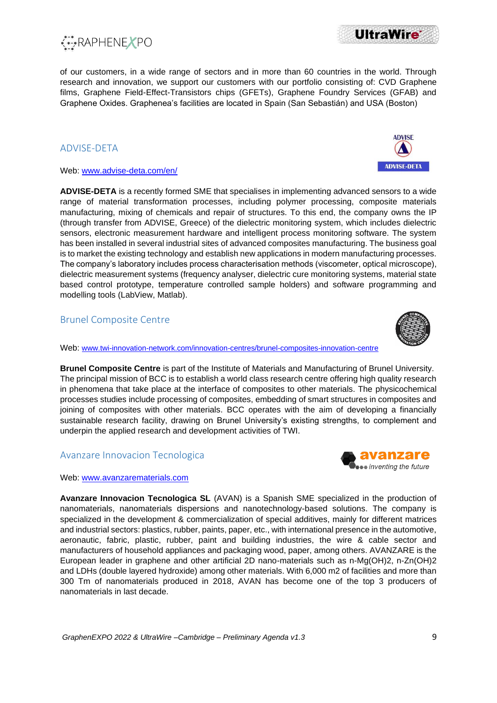

of our customers, in a wide range of sectors and in more than 60 countries in the world. Through research and innovation, we support our customers with our portfolio consisting of: CVD Graphene films, Graphene Field-Effect-Transistors chips (GFETs), Graphene Foundry Services (GFAB) and Graphene Oxides. Graphenea's facilities are located in Spain (San Sebastián) and USA (Boston)

### ADVISE-DETA

#### Web: [www.advise-deta.com/en/](http://www.advise-deta.com/en/)

**ADVISE-DETA** is a recently formed SME that specialises in implementing advanced sensors to a wide range of material transformation processes, including polymer processing, composite materials manufacturing, mixing of chemicals and repair of structures. To this end, the company owns the IP (through transfer from ADVISE, Greece) of the dielectric monitoring system, which includes dielectric sensors, electronic measurement hardware and intelligent process monitoring software. The system has been installed in several industrial sites of advanced composites manufacturing. The business goal is to market the existing technology and establish new applications in modern manufacturing processes. The company's laboratory includes process characterisation methods (viscometer, optical microscope), dielectric measurement systems (frequency analyser, dielectric cure monitoring systems, material state based control prototype, temperature controlled sample holders) and software programming and modelling tools (LabView, Matlab).

### Brunel Composite Centre

Web: [www.twi-innovation-network.com/innovation-centres/brunel-composites-innovation-centre](http://www.twi-innovation-network.com/innovation-centres/brunel-composites-innovation-centre)

**Brunel Composite Centre** is part of the Institute of Materials and Manufacturing of Brunel University. The principal mission of BCC is to establish a world class research centre offering high quality research in phenomena that take place at the interface of composites to other materials. The physicochemical processes studies include processing of composites, embedding of smart structures in composites and joining of composites with other materials. BCC operates with the aim of developing a financially sustainable research facility, drawing on Brunel University's existing strengths, to complement and underpin the applied research and development activities of TWI.

#### Avanzare Innovacion Tecnologica

Web: [www.avanzarematerials.com](http://www.avanzarematerials.com/)

**Avanzare Innovacion Tecnologica SL** (AVAN) is a Spanish SME specialized in the production of nanomaterials, nanomaterials dispersions and nanotechnology-based solutions. The company is specialized in the development & commercialization of special additives, mainly for different matrices and industrial sectors: plastics, rubber, paints, paper, etc., with international presence in the automotive, aeronautic, fabric, plastic, rubber, paint and building industries, the wire & cable sector and manufacturers of household appliances and packaging wood, paper, among others. AVANZARE is the European leader in graphene and other artificial 2D nano-materials such as n-Mg(OH)2, n-Zn(OH)2 and LDHs (double layered hydroxide) among other materials. With 6,000 m2 of facilities and more than 300 Tm of nanomaterials produced in 2018, AVAN has become one of the top 3 producers of nanomaterials in last decade.



 $\bullet$  inventing the future